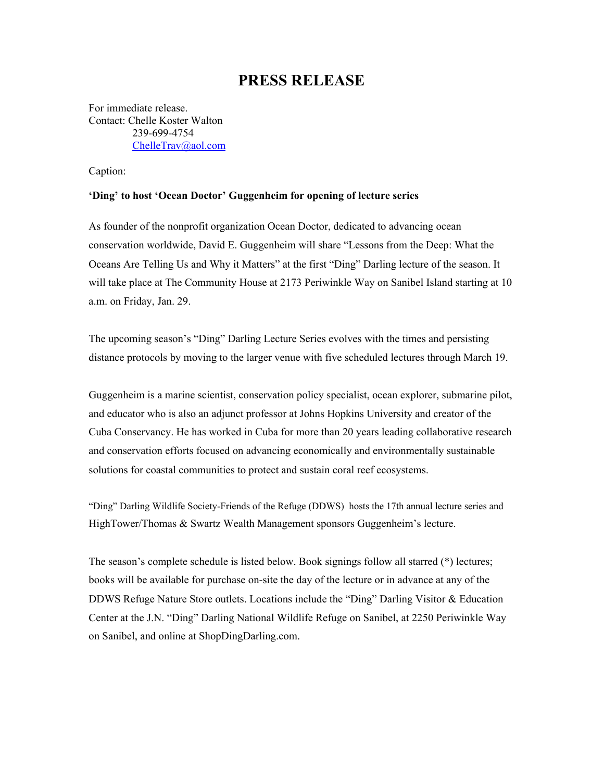## **PRESS RELEASE**

For immediate release. Contact: Chelle Koster Walton 239-699-4754 [ChelleTrav@aol.com](mailto:ChelleTrav@aol.com)

Caption:

## **'Ding' to host 'Ocean Doctor' Guggenheim for opening of lecture series**

As founder of the nonprofit organization Ocean Doctor, dedicated to advancing ocean conservation worldwide, David E. Guggenheim will share "Lessons from the Deep: What the Oceans Are Telling Us and Why it Matters" at the first "Ding" Darling lecture of the season. It will take place at The Community House at 2173 Periwinkle Way on Sanibel Island starting at 10 a.m. on Friday, Jan. 29.

The upcoming season's "Ding" Darling Lecture Series evolves with the times and persisting distance protocols by moving to the larger venue with five scheduled lectures through March 19.

Guggenheim is a marine scientist, conservation policy specialist, ocean explorer, submarine pilot, and educator who is also an adjunct professor at Johns Hopkins University and creator of the Cuba Conservancy. He has worked in Cuba for more than 20 years leading collaborative research and conservation efforts focused on advancing economically and environmentally sustainable solutions for coastal communities to protect and sustain coral reef ecosystems.

"Ding" Darling Wildlife Society-Friends of the Refuge (DDWS) hosts the 17th annual lecture series and [HighTower/Thomas](https://fortmyers.hightoweradvisors.com/team.html) & Swartz Wealth Management sponsors Guggenheim's lecture.

The season's complete schedule is listed below. Book signings follow all starred (\*) lectures; books will be available for purchase on-site the day of the lecture or in advance at any of the DDWS Refuge Nature Store outlets. Locations include the "Ding" Darling Visitor & Education Center at the J.N. "Ding" Darling National Wildlife Refuge on Sanibel, at 2250 Periwinkle Way on Sanibel, and online at ShopDingDarling.com.